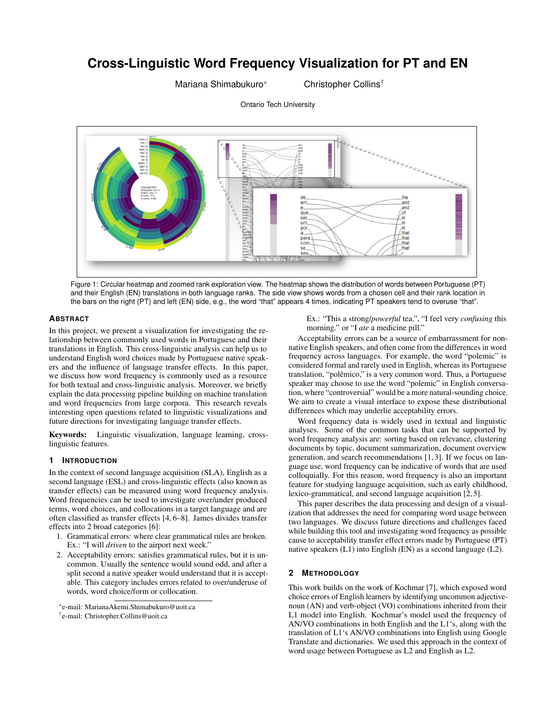# **Cross-Linguistic Word Frequency Visualization for PT and EN**

Ontario Tech University

Mariana Shimabukuro\* Christopher Collins<sup>†</sup>



<span id="page-0-0"></span>Figure 1: Circular heatmap and zoomed rank exploration view. The heatmap shows the distribution of words between Portuguese (PT) and their English (EN) translations in both language ranks. The side view shows words from a chosen cell and their rank location in the bars on the right (PT) and left (EN) side, e.g., the word "that" appears 4 times, indicating PT speakers tend to overuse "that".

#### **ABSTRACT**

In this project, we present a visualization for investigating the relationship between commonly used words in Portuguese and their translations in English. This cross-linguistic analysis can help us to understand English word choices made by Portuguese native speakers and the influence of language transfer effects. In this paper, we discuss how word frequency is commonly used as a resource for both textual and cross-linguistic analysis. Moreover, we briefly explain the data processing pipeline building on machine translation and word frequencies from large corpora. This research reveals interesting open questions related to linguistic visualizations and future directions for investigating language transfer effects.

Keywords: Linguistic visualization, language learning, crosslinguistic features.

# **1 INTRODUCTION**

In the context of second language acquisition (SLA), English as a second language (ESL) and cross-linguistic effects (also known as transfer effects) can be measured using word frequency analysis. Word frequencies can be used to investigate over/under produced terms, word choices, and collocations in a target language and are often classified as transfer effects [\[4,](#page-1-0) [6](#page-1-1)[–8\]](#page-1-2). James divides transfer effects into 2 broad categories [\[6\]](#page-1-1):

- 1. Grammatical errors: where clear grammatical rules are broken. Ex.: "I will *driven* to the airport next week."
- 2. Acceptability errors: satisfies grammatical rules, but it is uncommon. Usually the sentence would sound odd, and after a split second a native speaker would understand that it is acceptable. This category includes errors related to over/underuse of words, word choice/form or collocation.

† e-mail: Christopher.Collins@uoit.ca

Ex.: "This a strong/*powerful* tea.", "I feel very *confusing* this morning." or "I *ate* a medicine pill."

Acceptability errors can be a source of embarrassment for nonnative English speakers, and often come from the differences in word frequency across languages. For example, the word "polemic" is considered formal and rarely used in English, whereas its Portuguese translation, "polêmico," is a very common word. Thus, a Portuguese speaker may choose to use the word "polemic" in English conversation, where "controversial" would be a more natural-sounding choice. We aim to create a visual interface to expose these distributional differences which may underlie acceptability errors.

Word frequency data is widely used in textual and linguistic analyses. Some of the common tasks that can be supported by word frequency analysis are: sorting based on relevance, clustering documents by topic, document summarization, document overview generation, and search recommendations [\[1,](#page-1-3) [3\]](#page-1-4). If we focus on language use, word frequency can be indicative of words that are used colloquially. For this reason, word frequency is also an important feature for studying language acquisition, such as early childhood, lexico-grammatical, and second language acquisition [\[2,](#page-1-5) [5\]](#page-1-6).

This paper describes the data processing and design of a visualization that addresses the need for comparing word usage between two languages. We discuss future directions and challenges faced while building this tool and investigating word frequency as possible cause to acceptability transfer effect errors made by Portuguese (PT) native speakers (L1) into English (EN) as a second language (L2).

#### **2 METHODOLOGY**

This work builds on the work of Kochmar [\[7\]](#page-1-7), which exposed word choice errors of English learners by identifying uncommon adjectivenoun (AN) and verb-object (VO) combinations inherited from their L1 model into English. Kochmar's model used the frequency of AN/VO combinations in both English and the L1's, along with the translation of L1's AN/VO combinations into English using Google Translate and dictionaries. We used this approach in the context of word usage between Portuguese as L2 and English as L2.

<sup>\*</sup>e-mail: MarianaAkemi.Shimabukuro@uoit.ca